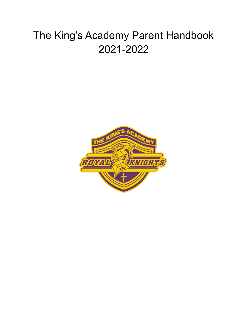# The King's Academy Parent Handbook 2021-2022

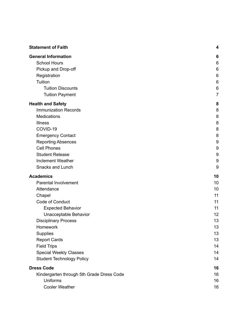| <b>Statement of Faith</b>                 | 4              |
|-------------------------------------------|----------------|
| <b>General Information</b>                | 6              |
| <b>School Hours</b>                       | 6              |
| Pickup and Drop-off                       | 6              |
| Registration                              | 6              |
| Tuition                                   | 6              |
| <b>Tuition Discounts</b>                  | 6              |
| <b>Tuition Payment</b>                    | $\overline{7}$ |
| <b>Health and Safety</b>                  | 8              |
| <b>Immunization Records</b>               | 8              |
| <b>Medications</b>                        | 8              |
| <b>Illness</b>                            | 8              |
| COVID-19                                  | 8              |
| <b>Emergency Contact</b>                  | 8              |
| <b>Reporting Absences</b>                 | 9              |
| <b>Cell Phones</b>                        | 9              |
| <b>Student Release</b>                    | 9              |
| <b>Inclement Weather</b>                  | 9              |
| <b>Snacks and Lunch</b>                   | 9              |
| <b>Academics</b>                          | 10             |
| <b>Parental Involvement</b>               | 10             |
| Attendance                                | 10             |
| Chapel                                    | 11             |
| Code of Conduct                           | 11             |
| <b>Expected Behavior</b>                  | 11             |
| Unacceptable Behavior                     | 12             |
| <b>Disciplinary Process</b>               | 13             |
| Homework                                  | 13             |
| Supplies                                  | 13             |
| <b>Report Cards</b>                       | 13             |
| <b>Field Trips</b>                        | 14             |
| <b>Special Weekly Classes</b>             | 14             |
| <b>Student Technology Policy</b>          | 14             |
| <b>Dress Code</b>                         | 16             |
| Kindergarten through 5th Grade Dress Code | 16             |
| <b>Uniforms</b>                           | 16             |
| <b>Cooler Weather</b>                     | 16             |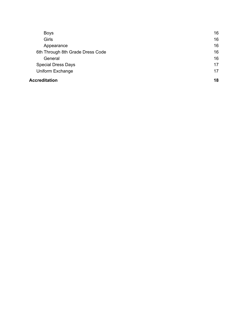| <b>Boys</b>                      | 16 |
|----------------------------------|----|
| Girls                            | 16 |
| Appearance                       | 16 |
| 6th Through 8th Grade Dress Code | 16 |
| General                          | 16 |
| <b>Special Dress Days</b>        | 17 |
| Uniform Exchange                 | 17 |
| <b>Accreditation</b>             | 18 |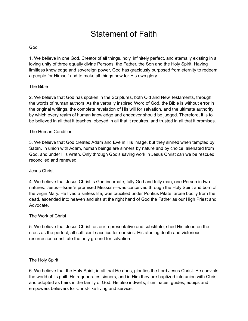# Statement of Faith

### <span id="page-3-0"></span>God

1. We believe in one God, Creator of all things, holy, infinitely perfect, and eternally existing in a loving unity of three equally divine Persons: the Father, the Son and the Holy Spirit. Having limitless knowledge and sovereign power, God has graciously purposed from eternity to redeem a people for Himself and to make all things new for His own glory.

### The Bible

2. We believe that God has spoken in the Scriptures, both Old and New Testaments, through the words of human authors. As the verbally inspired Word of God, the Bible is without error in the original writings, the complete revelation of His will for salvation, and the ultimate authority by which every realm of human knowledge and endeavor should be judged. Therefore, it is to be believed in all that it teaches, obeyed in all that it requires, and trusted in all that it promises.

### The Human Condition

3. We believe that God created Adam and Eve in His image, but they sinned when tempted by Satan. In union with Adam, human beings are sinners by nature and by choice, alienated from God, and under His wrath. Only through God's saving work in Jesus Christ can we be rescued, reconciled and renewed.

#### Jesus Christ

4. We believe that Jesus Christ is God incarnate, fully God and fully man, one Person in two natures. Jesus—Israel's promised Messiah—was conceived through the Holy Spirit and born of the virgin Mary. He lived a sinless life, was crucified under Pontius Pilate, arose bodily from the dead, ascended into heaven and sits at the right hand of God the Father as our High Priest and Advocate.

#### The Work of Christ

5. We believe that Jesus Christ, as our representative and substitute, shed His blood on the cross as the perfect, all-sufficient sacrifice for our sins. His atoning death and victorious resurrection constitute the only ground for salvation.

#### The Holy Spirit

6. We believe that the Holy Spirit, in all that He does, glorifies the Lord Jesus Christ. He convicts the world of its guilt. He regenerates sinners, and in Him they are baptized into union with Christ and adopted as heirs in the family of God. He also indwells, illuminates, guides, equips and empowers believers for Christ-like living and service.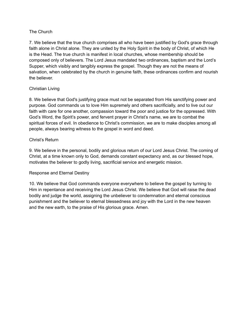#### The Church

7. We believe that the true church comprises all who have been justified by God's grace through faith alone in Christ alone. They are united by the Holy Spirit in the body of Christ, of which He is the Head. The true church is manifest in local churches, whose membership should be composed only of believers. The Lord Jesus mandated two ordinances, baptism and the Lord's Supper, which visibly and tangibly express the gospel. Though they are not the means of salvation, when celebrated by the church in genuine faith, these ordinances confirm and nourish the believer.

#### Christian Living

8. We believe that God's justifying grace must not be separated from His sanctifying power and purpose. God commands us to love Him supremely and others sacrificially, and to live out our faith with care for one another, compassion toward the poor and justice for the oppressed. With God's Word, the Spirit's power, and fervent prayer in Christ's name, we are to combat the spiritual forces of evil. In obedience to Christ's commission, we are to make disciples among all people, always bearing witness to the gospel in word and deed.

#### Christ's Return

9. We believe in the personal, bodily and glorious return of our Lord Jesus Christ. The coming of Christ, at a time known only to God, demands constant expectancy and, as our blessed hope, motivates the believer to godly living, sacrificial service and energetic mission.

#### Response and Eternal Destiny

10. We believe that God commands everyone everywhere to believe the gospel by turning to Him in repentance and receiving the Lord Jesus Christ. We believe that God will raise the dead bodily and judge the world, assigning the unbeliever to condemnation and eternal conscious punishment and the believer to eternal blessedness and joy with the Lord in the new heaven and the new earth, to the praise of His glorious grace. Amen.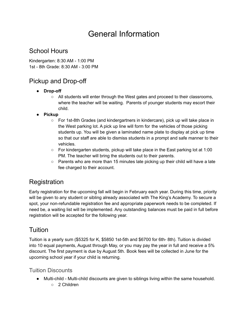# General Information

## <span id="page-5-1"></span><span id="page-5-0"></span>School Hours

Kindergarten: 8:30 AM - 1:00 PM 1st - 8th Grade: 8:30 AM - 3:00 PM

# <span id="page-5-2"></span>Pickup and Drop-off

- Drop-off
	- All students will enter through the West gates and proceed to their classrooms, where the teacher will be waiting. Parents of younger students may escort their child.
- **● Pickup**
	- For 1st-8th Grades (and kindergartners in kindercare), pick up will take place in the West parking lot. A pick up line will form for the vehicles of those picking students up. You will be given a laminated name plate to display at pick up time so that our staff are able to dismiss students in a prompt and safe manner to their vehicles.
	- $\circ$  For kindergarten students, pickup will take place in the East parking lot at 1:00 PM. The teacher will bring the students out to their parents.
	- $\circ$  Parents who are more than 15 minutes late picking up their child will have a late fee charged to their account.

# <span id="page-5-3"></span>**Registration**

Early registration for the upcoming fall will begin in February each year. During this time, priority will be given to any student or sibling already associated with The King's Academy. To secure a spot, your non-refundable registration fee and appropriate paperwork needs to be completed. If need be, a waiting list will be implemented. Any outstanding balances must be paid in full before registration will be accepted for the following year.

## <span id="page-5-4"></span>Tuition

Tuition is a yearly sum (\$5325 for K, \$5850 1st-5th and \$6700 for 6th- 8th). Tuition is divided into 10 equal payments, August through May, or you may pay the year in full and receive a 5% discount. The first payment is due by August 5th. Book fees will be collected in June for the upcoming school year if your child is returning.

## <span id="page-5-5"></span>Tuition Discounts

- Multi-child Multi-child discounts are given to siblings living within the same household.
	- 2 Children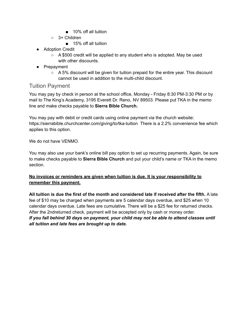- 10% off all tuition
- 3+ Children
	- 15% off all tuition
- Adoption Credit
	- A \$500 credit will be applied to any student who is adopted. May be used with other discounts.
- Prepayment
	- $\circ$  A 5% discount will be given for tuition prepaid for the entire year. This discount cannot be used in addition to the multi-child discount.

## <span id="page-6-0"></span>Tuition Payment

You may pay by check in person at the school office, Monday - Friday 8:30 PM-3:30 PM or by mail to The King's Academy, 3195 Everett Dr. Reno, NV 89503. Please put TKA in the memo line and make checks payable to **Sierra Bible Church.**

You may pay with debit or credit cards using online payment via the church website: https://sierrabible.churchcenter.com/giving/to/tka-tuition There is a 2.2% convenience fee which applies to this option.

We do not have VENMO.

You may also use your bank's online bill pay option to set up recurring payments. Again, be sure to make checks payable to **Sierra Bible Church** and put your child's name or TKA in the memo section.

### **No invoices or reminders are given when tuition is due. It is your responsibility to remember this payment.**

**All tuition is due the first of the month and considered late if received after the fifth.** A late fee of \$10 may be charged when payments are 5 calendar days overdue, and \$25 when 10 calendar days overdue. Late fees are cumulative. There will be a \$25 fee for returned checks. After the 2ndreturned check, payment will be accepted only by cash or money order. *If you fall behind 30 days on payment, your child may not be able to attend classes until all tuition and late fees are brought up to date.*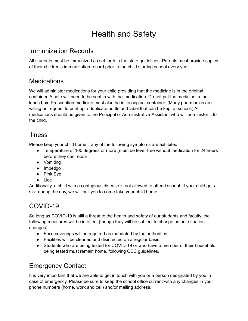# Health and Safety

## <span id="page-7-1"></span><span id="page-7-0"></span>Immunization Records

All students must be immunized as set forth in the state guidelines. Parents must provide copies of their children's immunization record prior to the child starting school every year.

## <span id="page-7-2"></span>**Medications**

We will administer medications for your child providing that the medicine is in the original container. A note will need to be sent in with the medication. Do not put the medicine in the lunch box. Prescription medicine must also be in its original container. (Many pharmacies are willing on request to print up a duplicate bottle and label that can be kept at school.) All medications should be given to the Principal or Administrative Assistant who will administer it to the child.

## <span id="page-7-3"></span>Illness

Please keep your child home if any of the following symptoms are exhibited:

- Temperature of 100 degrees or more (must be fever free without medication for 24 hours before they can return
- Vomiting
- Impetigo
- Pink Eye
- Lice

Additionally, a child with a contagious disease is not allowed to attend school. If your child gets sick during the day, we will call you to come take your child home.

# <span id="page-7-4"></span>COVID-19

So long as COVID-19 is still a threat to the health and safety of our students and faculty, the following measures will be in effect (though they will be subject to change as our situation changes):

- Face coverings will be required as mandated by the authorities.
- Facilities will be cleaned and disinfected on a regular basis.
- Students who are being tested for COVID-19 or who have a member of their household being tested must remain home, following CDC guidelines.

# <span id="page-7-5"></span>Emergency Contact

It is very important that we are able to get in touch with you or a person designated by you in case of emergency. Please be sure to keep the school office current with any changes in your phone numbers (home, work and cell) and/or mailing address.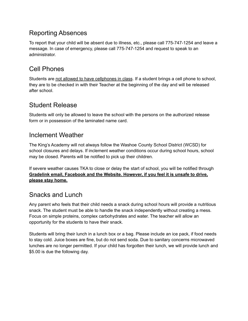## <span id="page-8-0"></span>Reporting Absences

To report that your child will be absent due to illness, etc., please call 775-747-1254 and leave a message. In case of emergency, please call 775-747-1254 and request to speak to an administrator.

# <span id="page-8-1"></span>Cell Phones

Students are not allowed to have cellphones in class. If a student brings a cell phone to school, they are to be checked in with their Teacher at the beginning of the day and will be released after school.

## <span id="page-8-2"></span>Student Release

Students will only be allowed to leave the school with the persons on the authorized release form or in possession of the laminated name card.

## <span id="page-8-3"></span>Inclement Weather

The King's Academy will not always follow the Washoe County School District (WCSD) for school closures and delays. If inclement weather conditions occur during school hours, school may be closed. Parents will be notified to pick up their children.

If severe weather causes TKA to close or delay the start of school, you will be notified through **Gradelink email, Facebook and the Website. However, if you feel it is unsafe to drive, please stay home.**

## <span id="page-8-4"></span>Snacks and Lunch

Any parent who feels that their child needs a snack during school hours will provide a nutritious snack. The student must be able to handle the snack independently without creating a mess. Focus on simple proteins, complex carbohydrates and water. The teacher will allow an opportunity for the students to have their snack.

Students will bring their lunch in a lunch box or a bag. Please include an ice pack, if food needs to stay cold. Juice boxes are fine, but do not send soda. Due to sanitary concerns microwaved lunches are no longer permitted. If your child has forgotten their lunch, we will provide lunch and \$5.00 is due the following day.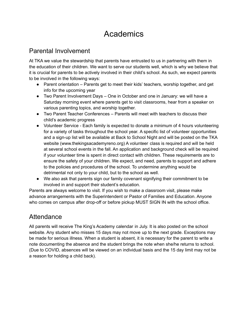# **Academics**

## <span id="page-9-1"></span><span id="page-9-0"></span>Parental Involvement

At TKA we value the stewardship that parents have entrusted to us in partnering with them in the education of their children. We want to serve our students well, which is why we believe that it is crucial for parents to be actively involved in their child's school. As such, we expect parents to be involved in the following ways:

- Parent orientation Parents get to meet their kids' teachers, worship together, and get info for the upcoming year
- Two Parent Involvement Days One in October and one in January: we will have a Saturday morning event where parents get to visit classrooms, hear from a speaker on various parenting topics, and worship together.
- Two Parent Teacher Conferences Parents will meet with teachers to discuss their child's academic progress
- Volunteer Service Each family is expected to donate a minimum of 4 hours volunteering for a variety of tasks throughout the school year. A specific list of volunteer opportunities and a sign-up list will be available at Back to School Night and will be posted on the TKA website (www.thekingsacademyreno.org) A volunteer class is required and will be held at several school events in the fall. An application and background check will be required if your volunteer time is spent in direct contact with children. These requirements are to ensure the safety of your children. We expect, and need, parents to support and adhere to the policies and procedures of the school. To undermine anything would be detrimental not only to your child, but to the school as well.
- We also ask that parents sign our family covenant signifying their commitment to be involved in and support their student's education.

Parents are always welcome to visit. If you wish to make a classroom visit, please make advance arrangements with the Superintendent or Pastor of Families and Education. Anyone who comes on campus after drop-off or before pickup MUST SIGN IN with the school office.

# <span id="page-9-2"></span>**Attendance**

All parents will receive The King's Academy calendar in July. It is also posted on the school website. Any student who misses 15 days may not move up to the next grade. Exceptions may be made for serious illness. When a student is absent, it is necessary for the parent to write a note documenting the absence and the student brings the note when she/he returns to school. (Due to COVID, absences will be viewed on an individual basis and the 15 day limit may not be a reason for holding a child back).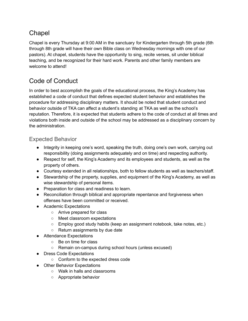# <span id="page-10-0"></span>**Chapel**

Chapel is every Thursday at 9:00 AM in the sanctuary for Kindergarten through 5th grade (6th through 8th grade will have their own Bible class on Wednesday mornings with one of our pastors). At chapel, students have the opportunity to sing, recite verses, sit under biblical teaching, and be recognized for their hard work. Parents and other family members are welcome to attend!

# <span id="page-10-1"></span>Code of Conduct

In order to best accomplish the goals of the educational process, the King's Academy has established a code of conduct that defines expected student behavior and establishes the procedure for addressing disciplinary matters. It should be noted that student conduct and behavior outside of TKA can affect a student's standing at TKA as well as the school's reputation. Therefore, it is expected that students adhere to the code of conduct at all times and violations both inside and outside of the school may be addressed as a disciplinary concern by the administration.

## <span id="page-10-2"></span>Expected Behavior

- Integrity in keeping one's word, speaking the truth, doing one's own work, carrying out responsibility (doing assignments adequately and on time) and respecting authority.
- Respect for self, the King's Academy and its employees and students, as well as the property of others.
- Courtesy extended in all relationships, both to fellow students as well as teachers/staff.
- Stewardship of the property, supplies, and equipment of the King's Academy, as well as wise stewardship of personal items.
- Preparation for class and readiness to learn.
- Reconciliation through biblical and appropriate repentance and forgiveness when offenses have been committed or received.
- Academic Expectations
	- Arrive prepared for class
	- Meet classroom expectations
	- Employ good study habits (keep an assignment notebook, take notes, etc.)
	- Return assignments by due date
- Attendance Expectations
	- Be on time for class
	- Remain on-campus during school hours (unless excused)
- Dress Code Expectations
	- Conform to the expected dress code
- Other Behavior Expectations
	- Walk in halls and classrooms
	- Appropriate behavior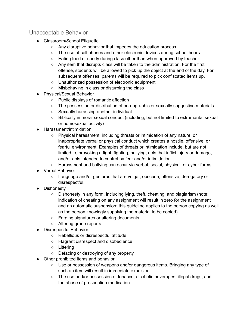## <span id="page-11-0"></span>Unacceptable Behavior

- Classroom/School Etiquette
	- Any disruptive behavior that impedes the education process
	- The use of cell phones and other electronic devices during school hours
	- Eating food or candy during class other than when approved by teacher
	- Any item that disrupts class will be taken to the administration. For the first offense, students will be allowed to pick up the object at the end of the day. For subsequent offenses, parents will be required to pick confiscated items up.
	- Unauthorized possession of electronic equipment
	- Misbehaving in class or disturbing the class
- Physical/Sexual Behavior
	- Public displays of romantic affection
	- The possession or distribution of pornographic or sexually suggestive materials
	- Sexually harassing another individual
	- Biblically immoral sexual conduct (including, but not limited to extramarital sexual or homosexual activity)
- Harassment/intimidation
	- Physical harassment, including threats or intimidation of any nature, or inappropriate verbal or physical conduct which creates a hostile, offensive, or fearful environment. Examples of threats or intimidation include, but are not limited to, provoking a fight, fighting, bullying, acts that inflict injury or damage, and/or acts intended to control by fear and/or intimidation.
	- Harassment and bullying can occur via verbal, social, physical, or cyber forms.
- Verbal Behavior
	- Language and/or gestures that are vulgar, obscene, offensive, derogatory or disrespectful.
- Dishonesty
	- $\circ$  Dishonesty in any form, including lying, theft, cheating, and plagiarism (note: indication of cheating on any assignment will result in zero for the assignment and an automatic suspension; this guideline applies to the person copying as well as the person knowingly supplying the material to be copied)
	- Forging signatures or altering documents
	- Altering grade reports
- **Disrespectful Behavior** 
	- Rebellious or disrespectful attitude
	- Flagrant disrespect and disobedience
	- Littering
	- Defacing or destroying of any property
- Other prohibited items and behavior
	- Use or possession of weapons and/or dangerous items. Bringing any type of such an item will result in immediate expulsion.
	- The use and/or possession of tobacco, alcoholic beverages, illegal drugs, and the abuse of prescription medication.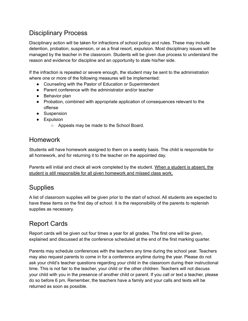## <span id="page-12-0"></span>Disciplinary Process

Disciplinary action will be taken for infractions of school policy and rules. These may include detention, probation, suspension, or as a final resort, expulsion. Most disciplinary issues will be managed by the teacher in the classroom. Students will be given due process to understand the reason and evidence for discipline and an opportunity to state his/her side.

If the infraction is repeated or severe enough, the student may be sent to the administration where one or more of the following measures will be implemented:

- Counseling with the Pastor of Education or Superintendent
- Parent conference with the administrator and/or teacher
- Behavior plan
- Probation, combined with appropriate application of consequences relevant to the offense
- Suspension
- **•** Expulsion
	- Appeals may be made to the School Board.

## <span id="page-12-1"></span>Homework

Students will have homework assigned to them on a weekly basis. The child is responsible for all homework, and for returning it to the teacher on the appointed day.

Parents will initial and check all work completed by the student. When a student is absent, the student is still responsible for all given homework and missed class work.

# <span id="page-12-2"></span>**Supplies**

A list of classroom supplies will be given prior to the start of school. All students are expected to have these items on the first day of school. It is the responsibility of the parents to replenish supplies as necessary.

# <span id="page-12-3"></span>Report Cards

Report cards will be given out four times a year for all grades. The first one will be given, explained and discussed at the conference scheduled at the end of the first marking quarter.

Parents may schedule conferences with the teachers any time during the school year. Teachers may also request parents to come in for a conference anytime during the year. Please do not ask your child's teacher questions regarding your child in the classroom during their instructional time. This is not fair to the teacher, your child or the other children. Teachers will not discuss your child with you in the presence of another child or parent. If you call or text a teacher, please do so before 6 pm. Remember, the teachers have a family and your calls and texts will be returned as soon as possible.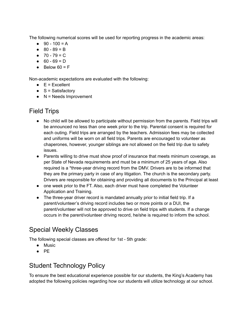The following numerical scores will be used for reporting progress in the academic areas:

- $\bullet$  90 100 = A
- $80 89 = B$
- $\bullet$  70 79 = C
- $\bullet$  60 69 = D
- $\bullet$  Below 60 = F

Non-academic expectations are evaluated with the following:

- $\bullet$  E = Excellent
- $\bullet$  S = Satisfactory
- $\bullet$  N = Needs Improvement

## <span id="page-13-0"></span>Field Trips

- No child will be allowed to participate without permission from the parents. Field trips will be announced no less than one week prior to the trip. Parental consent is required for each outing. Field trips are arranged by the teachers. Admission fees may be collected and uniforms will be worn on all field trips. Parents are encouraged to volunteer as chaperones, however, younger siblings are not allowed on the field trip due to safety issues.
- Parents willing to drive must show proof of insurance that meets minimum coverage, as per State of Nevada requirements and must be a minimum of 25 years of age. Also required is a \*three-year driving record from the DMV. Drivers are to be informed that they are the primary party in case of any litigation. The church is the secondary party. Drivers are responsible for obtaining and providing all documents to the Principal at least
- one week prior to the FT. Also, each driver must have completed the Volunteer Application and Training.
- The three-year driver record is mandated annually prior to initial field trip. If a parent/volunteer's driving record includes two or more points or a DUI, the parent/volunteer will not be approved to drive on field trips with students. If a change occurs in the parent/volunteer driving record, he/she is required to inform the school.

# <span id="page-13-1"></span>Special Weekly Classes

The following special classes are offered for 1st - 5th grade:

- Music
- PE

# <span id="page-13-2"></span>Student Technology Policy

To ensure the best educational experience possible for our students, the King's Academy has adopted the following policies regarding how our students will utilize technology at our school.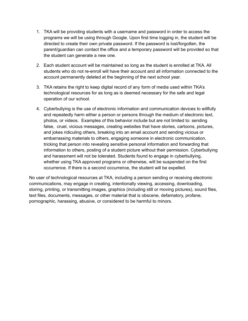- 1. TKA will be providing students with a username and password in order to access the programs we will be using through Google. Upon first time logging in, the student will be directed to create their own private password. If the password is lost/forgotten, the parent/guardian can contact the office and a temporary password will be provided so that the student can generate a new one.
- 2. Each student account will be maintained so long as the student is enrolled at TKA. All students who do not re-enroll will have their account and all information connected to the account permanently deleted at the beginning of the next school year.
- 3. TKA retains the right to keep digital record of any form of media used within TKA's technological resources for as long as is deemed necessary for the safe and legal operation of our school.
- 4. Cyberbullying is the use of electronic information and communication devices to willfully and repeatedly harm either a person or persons through the medium of electronic text, photos, or videos. Examples of this behavior include but are not limited to: sending false, cruel, vicious messages, creating websites that have stories, cartoons, pictures, and jokes ridiculing others, breaking into an email account and sending vicious or embarrassing materials to others, engaging someone in electronic communication, tricking that person into revealing sensitive personal information and forwarding that information to others, posting of a student picture without their permission. Cyberbullying and harassment will not be tolerated. Students found to engage in cyberbullying, whether using TKA approved programs or otherwise, will be suspended on the first occurrence. If there is a second occurrence, the student will be expelled.

No user of technological resources at TKA, including a person sending or receiving electronic communications, may engage in creating, intentionally viewing, accessing, downloading, storing, printing, or transmitting images, graphics (including still or moving pictures), sound files, text files, documents, messages, or other material that is obscene, defamatory, profane, pornographic, harassing, abusive, or considered to be harmful to minors.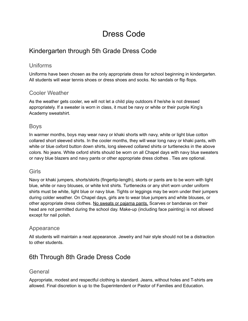# Dress Code

## <span id="page-15-1"></span><span id="page-15-0"></span>Kindergarten through 5th Grade Dress Code

## <span id="page-15-2"></span>Uniforms

Uniforms have been chosen as the only appropriate dress for school beginning in kindergarten. All students will wear tennis shoes or dress shoes and socks. No sandals or flip flops.

## <span id="page-15-3"></span>Cooler Weather

As the weather gets cooler, we will not let a child play outdoors if he/she is not dressed appropriately. If a sweater is worn in class, it must be navy or white or their purple King's Academy sweatshirt.

## <span id="page-15-4"></span>Boys

In warmer months, boys may wear navy or khaki shorts with navy, white or light blue cotton collared short sleeved shirts. In the cooler months, they will wear long navy or khaki pants, with white or blue oxford button down shirts, long sleeved collared shirts or turtlenecks in the above colors. No jeans. White oxford shirts should be worn on all Chapel days with navy blue sweaters or navy blue blazers and navy pants or other appropriate dress clothes . Ties are optional.

## <span id="page-15-5"></span>Girls

Navy or khaki jumpers, shorts/skirts (fingertip-length), skorts or pants are to be worn with light blue, white or navy blouses, or white knit shirts. Turtlenecks or any shirt worn under uniform shirts must be white, light blue or navy blue. Tights or leggings may be worn under their jumpers during colder weather. On Chapel days, girls are to wear blue jumpers and white blouses, or other appropriate dress clothes. No sweats or pajama pants. Scarves or bandanas on their head are not permitted during the school day. Make-up (including face painting) is not allowed except for nail polish.

## <span id="page-15-6"></span>Appearance

All students will maintain a neat appearance. Jewelry and hair style should not be a distraction to other students.

## <span id="page-15-7"></span>6th Through 8th Grade Dress Code

## <span id="page-15-8"></span>**General**

Appropriate, modest and respectful clothing is standard. Jeans, without holes and T-shirts are allowed. Final discretion is up to the Superintendent or Pastor of Families and Education.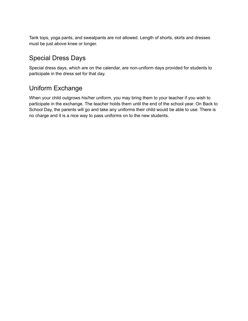Tank tops, yoga pants, and sweatpants are not allowed. Length of shorts, skirts and dresses must be just above knee or longer.

# <span id="page-16-0"></span>Special Dress Days

Special dress days, which are on the calendar, are non-uniform days provided for students to participate in the dress set for that day.

## <span id="page-16-1"></span>Uniform Exchange

When your child outgrows his/her uniform, you may bring them to your teacher if you wish to participate in the exchange. The teacher holds them until the end of the school year. On Back to School Day, the parents will go and take any uniforms their child would be able to use. There is no charge and it is a nice way to pass uniforms on to the new students.